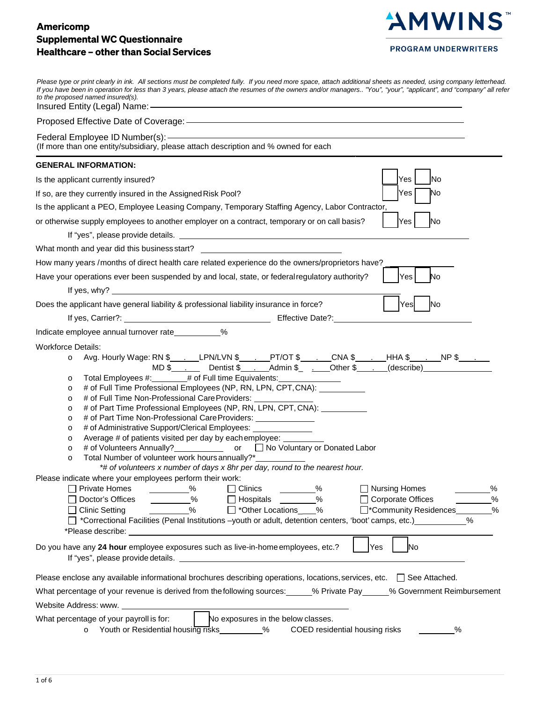# Americomp Supplemental WC Questionnaire Healthcare – other than Social Services



**PROGRAM UNDERWRITERS** 

| Please type or print clearly in ink. All sections must be completed fully. If you need more space, attach additional sheets as needed, using company letterhead.<br>If you have been in operation for less than 3 years, please attach the resumes of the owners and/or managers "You", "your", "applicant", and "company" all refer<br>to the proposed named insured(s).                                                                                                                                                                                                                                                                                                                                                                                                                                                                                                                                                                                                                                              |
|------------------------------------------------------------------------------------------------------------------------------------------------------------------------------------------------------------------------------------------------------------------------------------------------------------------------------------------------------------------------------------------------------------------------------------------------------------------------------------------------------------------------------------------------------------------------------------------------------------------------------------------------------------------------------------------------------------------------------------------------------------------------------------------------------------------------------------------------------------------------------------------------------------------------------------------------------------------------------------------------------------------------|
|                                                                                                                                                                                                                                                                                                                                                                                                                                                                                                                                                                                                                                                                                                                                                                                                                                                                                                                                                                                                                        |
| (If more than one entity/subsidiary, please attach description and % owned for each                                                                                                                                                                                                                                                                                                                                                                                                                                                                                                                                                                                                                                                                                                                                                                                                                                                                                                                                    |
| <b>GENERAL INFORMATION:</b>                                                                                                                                                                                                                                                                                                                                                                                                                                                                                                                                                                                                                                                                                                                                                                                                                                                                                                                                                                                            |
| Yes<br>lNo<br>Is the applicant currently insured?                                                                                                                                                                                                                                                                                                                                                                                                                                                                                                                                                                                                                                                                                                                                                                                                                                                                                                                                                                      |
| Yes<br>No<br>If so, are they currently insured in the Assigned Risk Pool?                                                                                                                                                                                                                                                                                                                                                                                                                                                                                                                                                                                                                                                                                                                                                                                                                                                                                                                                              |
| Is the applicant a PEO, Employee Leasing Company, Temporary Staffing Agency, Labor Contractor,                                                                                                                                                                                                                                                                                                                                                                                                                                                                                                                                                                                                                                                                                                                                                                                                                                                                                                                         |
| Yes<br>or otherwise supply employees to another employer on a contract, temporary or on call basis?<br>No.                                                                                                                                                                                                                                                                                                                                                                                                                                                                                                                                                                                                                                                                                                                                                                                                                                                                                                             |
|                                                                                                                                                                                                                                                                                                                                                                                                                                                                                                                                                                                                                                                                                                                                                                                                                                                                                                                                                                                                                        |
| What month and year did this business start? ___________________________________<br>How many years /months of direct health care related experience do the owners/proprietors have?                                                                                                                                                                                                                                                                                                                                                                                                                                                                                                                                                                                                                                                                                                                                                                                                                                    |
| Have your operations ever been suspended by and local, state, or federal regulatory authority?<br>Yes<br>No                                                                                                                                                                                                                                                                                                                                                                                                                                                                                                                                                                                                                                                                                                                                                                                                                                                                                                            |
| If yes, why? $\qquad \qquad$                                                                                                                                                                                                                                                                                                                                                                                                                                                                                                                                                                                                                                                                                                                                                                                                                                                                                                                                                                                           |
| Yes<br>lNo<br>Does the applicant have general liability & professional liability insurance in force?                                                                                                                                                                                                                                                                                                                                                                                                                                                                                                                                                                                                                                                                                                                                                                                                                                                                                                                   |
|                                                                                                                                                                                                                                                                                                                                                                                                                                                                                                                                                                                                                                                                                                                                                                                                                                                                                                                                                                                                                        |
| $\%$<br>Indicate employee annual turnover rate                                                                                                                                                                                                                                                                                                                                                                                                                                                                                                                                                                                                                                                                                                                                                                                                                                                                                                                                                                         |
| <b>Workforce Details:</b><br>Avg. Hourly Wage: RN \$______LPN/LVN \$______PT/OT \$_____CNA \$_____HHA \$_____NP \$______<br>MD \$_______Dentist \$____Admin \$_____Other \$____(describe)_______________________<br>$\circ$<br>Total Employees #: # of Full time Equivalents:<br>$\circ$<br># of Full Time Professional Employees (NP, RN, LPN, CPT, CNA): __________<br>$\circ$<br># of Full Time Non-Professional Care Providers:<br>$\circ$<br># of Part Time Professional Employees (NP, RN, LPN, CPT, CNA): __________<br>$\circ$<br># of Part Time Non-Professional Care Providers: ______________<br>$\circ$<br># of Administrative Support/Clerical Employees: _______________<br>$\circ$<br>Average # of patients visited per day by each employee:<br>$\circ$<br># of Volunteers Annually?<br><b>Example 10 Traveller Voluntary or Donated Labor</b><br>$\circ$<br>Total Number of volunteer work hours annually?*<br>$\circ$<br>*# of volunteers x number of days x 8hr per day, round to the nearest hour. |
| Please indicate where your employees perform their work:                                                                                                                                                                                                                                                                                                                                                                                                                                                                                                                                                                                                                                                                                                                                                                                                                                                                                                                                                               |
| $\Box$ Private Homes<br>$\Box$ Clinics<br>$\sim$ $\frac{\%}{\%}$<br>$\%$<br>□ Nursing Homes<br>%<br>——————% □ Hospitals <sub>—————</sub> %<br>$\%$<br>□ Corporate Offices<br>□ Doctor's Offices<br>$\%$<br>□ *Other Locations____%<br>□*Community Residences<br>%<br>$\Box$ Clinic Setting<br>□ *Correctional Facilities (Penal Institutions -youth or adult, detention centers, 'boot' camps, etc.)<br>$\%$                                                                                                                                                                                                                                                                                                                                                                                                                                                                                                                                                                                                           |
| Do you have any 24 hour employee exposures such as live-in-home employees, etc.?<br>Yes<br>lNo                                                                                                                                                                                                                                                                                                                                                                                                                                                                                                                                                                                                                                                                                                                                                                                                                                                                                                                         |
| Please enclose any available informational brochures describing operations, locations, services, etc. $\Box$ See Attached.                                                                                                                                                                                                                                                                                                                                                                                                                                                                                                                                                                                                                                                                                                                                                                                                                                                                                             |
| What percentage of your revenue is derived from the following sources: 6. Private Pay 6. Sovernment Reimbursement                                                                                                                                                                                                                                                                                                                                                                                                                                                                                                                                                                                                                                                                                                                                                                                                                                                                                                      |
|                                                                                                                                                                                                                                                                                                                                                                                                                                                                                                                                                                                                                                                                                                                                                                                                                                                                                                                                                                                                                        |
| What percentage of your payroll is for:<br>No exposures in the below classes.<br>o Youth or Residential housing risks _________% COED residential housing risks<br>%                                                                                                                                                                                                                                                                                                                                                                                                                                                                                                                                                                                                                                                                                                                                                                                                                                                   |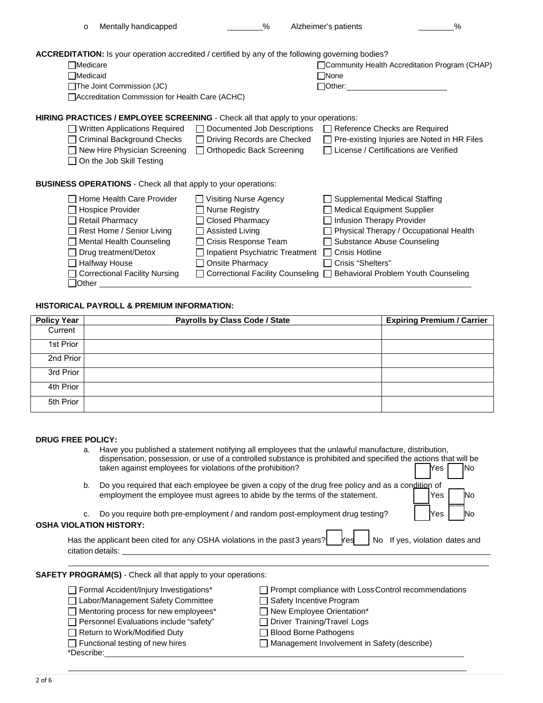| <b>ACCREDITATION:</b> Is your operation accredited / certified by any of the following governing bodies? |                                                                                                              |
|----------------------------------------------------------------------------------------------------------|--------------------------------------------------------------------------------------------------------------|
| $\sqcap$ Medicare                                                                                        | Community Health Accreditation Program (CHAP)                                                                |
| $\sqcap$ Medicaid                                                                                        | $\Box$ None                                                                                                  |
| $\Box$ The Joint Commission (JC)                                                                         | 1 <sup>7</sup> Other:<br>1                                                                                   |
| □ Accreditation Commission for Health Care (ACHC)                                                        |                                                                                                              |
| HIRING PRACTICES / EMPLOYEE SCREENING - Check all that apply to your operations:                         |                                                                                                              |
|                                                                                                          | $\Box$ Written Applications Pequired $\Box$ Documented Job Descriptions $\Box$ Peterance Checks are Pequired |

o Mentally handicapped % Alzheimer's patients %

- Written Applications Required Documented Job Descriptions Reference Checks are Required □ Criminal Background Checks □ Driving Records are Checked □ Pre-existing Injuries are Noted in HR Files
	- New Hire Physician Screening Orthopedic Back Screening License / Certifications are Verified
	- □ On the Job Skill Testing

**BUSINESS OPERATIONS** - Check all that apply to your operations:

| □ Home Health Care Provider     | Visiting Nurse Agency             | $\Box$ Supplemental Medical Staffing                                     |
|---------------------------------|-----------------------------------|--------------------------------------------------------------------------|
| □ Hospice Provider              | $\Box$ Nurse Registry             | Medical Equipment Supplier                                               |
| $\Box$ Retail Pharmacy          | □ Closed Pharmacy                 | Infusion Therapy Provider                                                |
| Rest Home / Senior Living       | $\Box$ Assisted Living            | Physical Therapy / Occupational Health                                   |
| $\Box$ Mental Health Counseling | □ Crisis Response Team            | □ Substance Abuse Counseling                                             |
| $\Box$ Drug treatment/Detox     | □ Inpatient Psychiatric Treatment | $\Box$ Crisis Hotline                                                    |
| □ Halfway House                 | $\Box$ Onsite Pharmacy            | □ Crisis "Shelters"                                                      |
| □ Correctional Facility Nursing |                                   | □ Correctional Facility Counseling □ Behavioral Problem Youth Counseling |
| <b>Other</b>                    |                                   |                                                                          |

## **HISTORICAL PAYROLL & PREMIUM INFORMATION:**

| <b>Policy Year</b> | Payrolls by Class Code / State | <b>Expiring Premium / Carrier</b> |
|--------------------|--------------------------------|-----------------------------------|
| Current            |                                |                                   |
| 1st Prior          |                                |                                   |
| 2nd Prior          |                                |                                   |
| 3rd Prior          |                                |                                   |
| 4th Prior          |                                |                                   |
| 5th Prior          |                                |                                   |

### **DRUG FREE POLICY:**

- a. Have you published a statement notifying all employees that the unlawful manufacture, distribution, dispensation, possession, or use of a controlled substance is prohibited and specified the actions that will be taken against employees for violations of the prohibition? The North Control of The North Control of The North Control of The North Control of The North Control of The North Control of The North Control of The North Contro
- b. Do you required that each employee be given a copy of the drug free policy and as a condition of employment the employee must agrees to abide by the terms of the statement. Yes No
- c. Do you require both pre-employment / and random post-employment drug testing? Yes No

## **OSHA VIOLATION HISTORY:**

| Has the applicant been cited for any OSHA violations in the past 3 years? $\boxed{\phantom{\text{def}}\phantom{\text{def}}\,}$ Kes $\boxed{\phantom{\text{def}}\,}$ No $\phantom{\text{def}}\,$ If yes, violation dates and |  |  |  |
|-----------------------------------------------------------------------------------------------------------------------------------------------------------------------------------------------------------------------------|--|--|--|
| citation details:                                                                                                                                                                                                           |  |  |  |

**SAFETY PROGRAM(S)** - Check all that apply to your operations:

□ Labor/Management Safety Committee Safety Incentive Program

□ Mentoring process for new employees\* □ New Employee Orientation\*

Personnel Evaluations include "safety" Driver Training/Travel Logs

Return to Work/Modified Duty **Blood Borne Pathogens** 

- \*Describe:
- □ Formal Accident/Injury Investigations<sup>\*</sup> □ Prompt compliance with Loss Control recommendations

□ Functional testing of new hires <br>
■ Management Involvement in Safety (describe)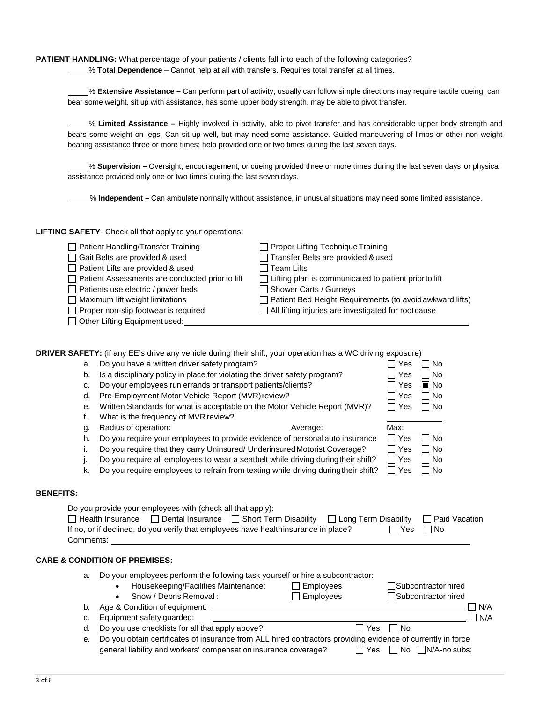**PATIENT HANDLING:** What percentage of your patients / clients fall into each of the following categories?

% **Total Dependence** – Cannot help at all with transfers. Requires total transfer at all times.

% **Extensive Assistance –** Can perform part of activity, usually can follow simple directions may require tactile cueing, can bear some weight, sit up with assistance, has some upper body strength, may be able to pivot transfer.

 % **Limited Assistance –** Highly involved in activity, able to pivot transfer and has considerable upper body strength and bears some weight on legs. Can sit up well, but may need some assistance. Guided maneuvering of limbs or other non-weight bearing assistance three or more times; help provided one or two times during the last seven days.

% **Supervision –** Oversight, encouragement, or cueing provided three or more times during the last seven days or physical assistance provided only one or two times during the last seven days.

% **Independent –** Can ambulate normally without assistance, in unusual situations may need some limited assistance.

**LIFTING SAFETY**- Check all that apply to your operations:

| □ Patient Handling/Transfer Training            | $\Box$ Proper Lifting Technique Training                     |
|-------------------------------------------------|--------------------------------------------------------------|
| □ Gait Belts are provided & used                | Transfer Belts are provided & used                           |
| Patient Lifts are provided & used               | $\Box$ Team Lifts                                            |
| Patient Assessments are conducted prior to lift | $\Box$ Lifting plan is communicated to patient prior to lift |
| $\Box$ Patients use electric / power beds       | Shower Carts / Gurneys                                       |
| $\Box$ Maximum lift weight limitations          | Patient Bed Height Requirements (to avoid awkward lifts)     |
| $\Box$ Proper non-slip footwear is required     | All lifting injuries are investigated for rootcause          |
| □ Other Lifting Equipment used:                 |                                                              |

|    | DRIVER SAFETY: (if any EE's drive any vehicle during their shift, your operation has a WC driving exposure)                                                                                                                              |            |                               |            |
|----|------------------------------------------------------------------------------------------------------------------------------------------------------------------------------------------------------------------------------------------|------------|-------------------------------|------------|
| a. | Do you have a written driver safety program?                                                                                                                                                                                             | Yes        | No                            |            |
| b. | Is a disciplinary policy in place for violating the driver safety program?                                                                                                                                                               | Yes        | No                            |            |
| c. | Do your employees run errands or transport patients/clients?                                                                                                                                                                             | Yes        | $\blacksquare$ No             |            |
| d. | Pre-Employment Motor Vehicle Report (MVR) review?                                                                                                                                                                                        | Yes        | No                            |            |
| е. | Written Standards for what is acceptable on the Motor Vehicle Report (MVR)?                                                                                                                                                              | Yes        | No                            |            |
| f. | What is the frequency of MVR review?                                                                                                                                                                                                     |            |                               |            |
| g. | Radius of operation:<br>Average:                                                                                                                                                                                                         | Max:       |                               |            |
| h. | Do you require your employees to provide evidence of personal auto insurance                                                                                                                                                             | $\Box$ Yes | No                            |            |
| i. | Do you require that they carry Uninsured/ Underinsured Motorist Coverage?                                                                                                                                                                | Yes        | No                            |            |
| J. | Do you require all employees to wear a seatbelt while driving during their shift?                                                                                                                                                        | Yes        | No                            |            |
| k. | Do you require employees to refrain from texting while driving during their shift?                                                                                                                                                       | $\Box$ Yes | No                            |            |
|    | Do you provide your employees with (check all that apply):<br>□ Health Insurance □ Dental Insurance □ Short Term Disability □ Long Term Disability<br>If no, or if declined, do you verify that employees have healthinsurance in place? | $\Box$ Yes | □ Paid Vacation<br>$\Box$ No  |            |
|    | <b>CARE &amp; CONDITION OF PREMISES:</b>                                                                                                                                                                                                 |            |                               |            |
| a. | Do your employees perform the following task yourself or hire a subcontractor:                                                                                                                                                           |            |                               |            |
|    | $\Box$ Employees<br>Housekeeping/Facilities Maintenance:                                                                                                                                                                                 |            | Subcontractor hired           |            |
|    | Snow / Debris Removal :<br>$\Box$ Employees                                                                                                                                                                                              |            | Subcontractor hired           |            |
| b. |                                                                                                                                                                                                                                          |            |                               | N/A        |
| c. | Equipment safety guarded:                                                                                                                                                                                                                |            |                               | $\Box$ N/A |
| d. | Do you use checklists for all that apply above?<br>$\Box$ Yes                                                                                                                                                                            | $\Box$ No  |                               |            |
| е. | Do you obtain certificates of insurance from ALL hired contractors providing evidence of currently in force                                                                                                                              |            |                               |            |
|    | general liability and workers' compensation insurance coverage?<br>∏ Yes                                                                                                                                                                 |            | $\Box$ No $\Box$ N/A-no subs: |            |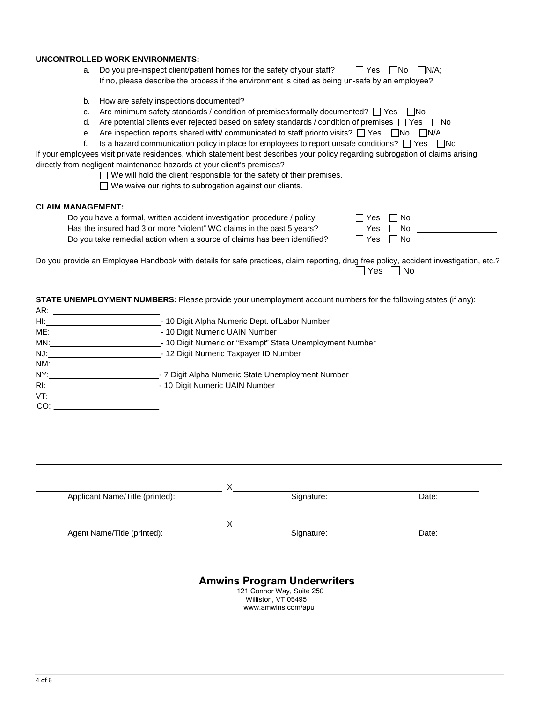#### **UNCONTROLLED WORK ENVIRONMENTS:**

- a. Do you pre-inspect client/patient homes for the safety of your staff?  $\Box$  Yes  $\Box$  No  $\Box$  N/A; If no, please describe the process if the environment is cited as being un-safe by an employee?
- b. How are safety inspections documented?
- c. Are minimum safety standards / condition of premises formally documented?  $\Box$  Yes  $\Box$  No
- d. Are potential clients ever rejected based on safety standards / condition of premises  $\Box$  Yes  $\Box$  No
- e. Are inspection reports shared with/ communicated to staff prior to visits?  $\Box$  Yes  $\Box$  No  $\Box$  N/A
- f. Is a hazard communication policy in place for employees to report unsafe conditions?  $\Box$  Yes  $\Box$  No

If your employees visit private residences, which statement best describes your policy regarding subrogation of claims arising directly from negligent maintenance hazards at your client's premises?

 $\Box$  We will hold the client responsible for the safety of their premises.

□ We waive our rights to subrogation against our clients.

#### **CLAIM MANAGEMENT:**

Do you have a formal, written accident investigation procedure / policy [ Has the insured had 3 or more "violent" WC claims in the past 5 years? Do you take remedial action when a source of claims has been identified?  $[$ 

| _TYes □ No |  |
|------------|--|
| ∃Yes ∏No   |  |
| No ⊃ Yes D |  |

Do you provide an Employee Handbook with details for safe practices, claim reporting, drug free policy, accident investigation, etc.?  $\Box$  Yes  $\Box$  No

**STATE UNEMPLOYMENT NUMBERS:** Please provide your unemployment account numbers for the following states (if any): AR:

| $Hl$ : | - 10 Digit Alpha Numeric Dept. of Labor Number           |
|--------|----------------------------------------------------------|
| ME:    | - 10 Digit Numeric UAIN Number                           |
| MN:    | - 10 Digit Numeric or "Exempt" State Unemployment Number |
| NJ:    | - 12 Digit Numeric Taxpayer ID Number                    |
| NM:    |                                                          |
| NY:    | - 7 Digit Alpha Numeric State Unemployment Number        |
| $R$ :  | - 10 Digit Numeric UAIN Number                           |
| VT:    |                                                          |
| CO:    |                                                          |

| Applicant Name/Title (printed): | Signature:                         | Date: |
|---------------------------------|------------------------------------|-------|
|                                 |                                    |       |
| Agent Name/Title (printed):     | Signature:                         | Date: |
|                                 |                                    |       |
|                                 | <b>Amwins Program Underwriters</b> |       |

Williston, VT 05495 <www.amwins.com/apu>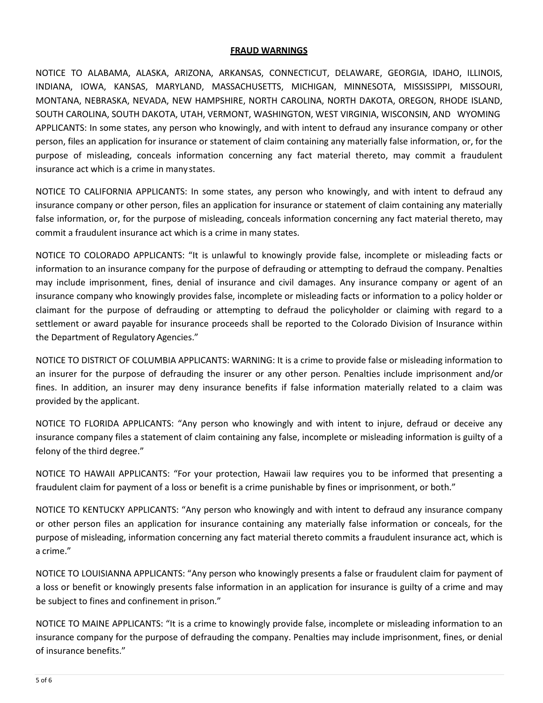## **FRAUD WARNINGS**

NOTICE TO ALABAMA, ALASKA, ARIZONA, ARKANSAS, CONNECTICUT, DELAWARE, GEORGIA, IDAHO, ILLINOIS, INDIANA, IOWA, KANSAS, MARYLAND, MASSACHUSETTS, MICHIGAN, MINNESOTA, MISSISSIPPI, MISSOURI, MONTANA, NEBRASKA, NEVADA, NEW HAMPSHIRE, NORTH CAROLINA, NORTH DAKOTA, OREGON, RHODE ISLAND, SOUTH CAROLINA, SOUTH DAKOTA, UTAH, VERMONT, WASHINGTON, WEST VIRGINIA, WISCONSIN, AND WYOMING APPLICANTS: In some states, any person who knowingly, and with intent to defraud any insurance company or other person, files an application for insurance or statement of claim containing any materially false information, or, for the purpose of misleading, conceals information concerning any fact material thereto, may commit a fraudulent insurance act which is a crime in many states.

NOTICE TO CALIFORNIA APPLICANTS: In some states, any person who knowingly, and with intent to defraud any insurance company or other person, files an application for insurance or statement of claim containing any materially false information, or, for the purpose of misleading, conceals information concerning any fact material thereto, may commit a fraudulent insurance act which is a crime in many states.

NOTICE TO COLORADO APPLICANTS: "It is unlawful to knowingly provide false, incomplete or misleading facts or information to an insurance company for the purpose of defrauding or attempting to defraud the company. Penalties may include imprisonment, fines, denial of insurance and civil damages. Any insurance company or agent of an insurance company who knowingly provides false, incomplete or misleading facts or information to a policy holder or claimant for the purpose of defrauding or attempting to defraud the policyholder or claiming with regard to a settlement or award payable for insurance proceeds shall be reported to the Colorado Division of Insurance within the Department of Regulatory Agencies."

NOTICE TO DISTRICT OF COLUMBIA APPLICANTS: WARNING: It is a crime to provide false or misleading information to an insurer for the purpose of defrauding the insurer or any other person. Penalties include imprisonment and/or fines. In addition, an insurer may deny insurance benefits if false information materially related to a claim was provided by the applicant.

NOTICE TO FLORIDA APPLICANTS: "Any person who knowingly and with intent to injure, defraud or deceive any insurance company files a statement of claim containing any false, incomplete or misleading information is guilty of a felony of the third degree."

NOTICE TO HAWAII APPLICANTS: "For your protection, Hawaii law requires you to be informed that presenting a fraudulent claim for payment of a loss or benefit is a crime punishable by fines or imprisonment, or both."

NOTICE TO KENTUCKY APPLICANTS: "Any person who knowingly and with intent to defraud any insurance company or other person files an application for insurance containing any materially false information or conceals, for the purpose of misleading, information concerning any fact material thereto commits a fraudulent insurance act, which is a crime."

NOTICE TO LOUISIANNA APPLICANTS: "Any person who knowingly presents a false or fraudulent claim for payment of a loss or benefit or knowingly presents false information in an application for insurance is guilty of a crime and may be subject to fines and confinement in prison."

NOTICE TO MAINE APPLICANTS: "It is a crime to knowingly provide false, incomplete or misleading information to an insurance company for the purpose of defrauding the company. Penalties may include imprisonment, fines, or denial of insurance benefits."